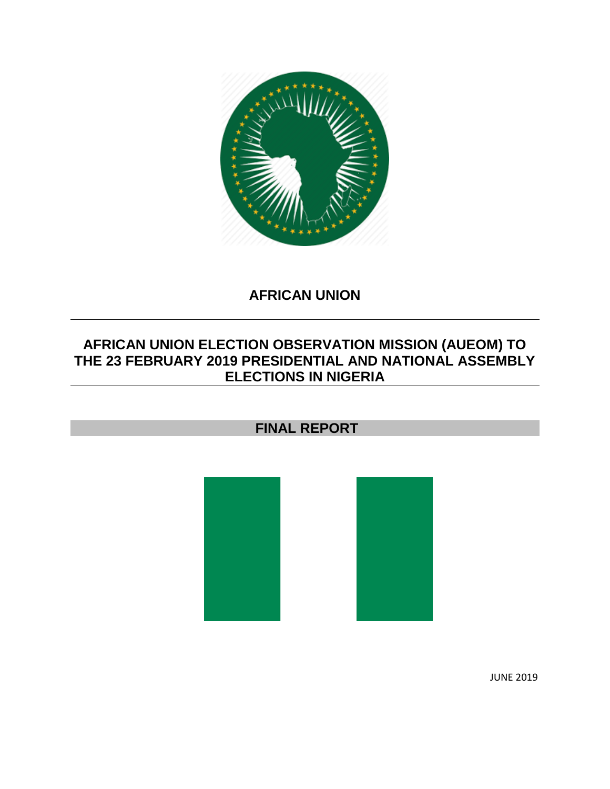

# **AFRICAN UNION**

# **AFRICAN UNION ELECTION OBSERVATION MISSION (AUEOM) TO THE 23 FEBRUARY 2019 PRESIDENTIAL AND NATIONAL ASSEMBLY ELECTIONS IN NIGERIA**

# **FINAL REPORT**



JUNE 2019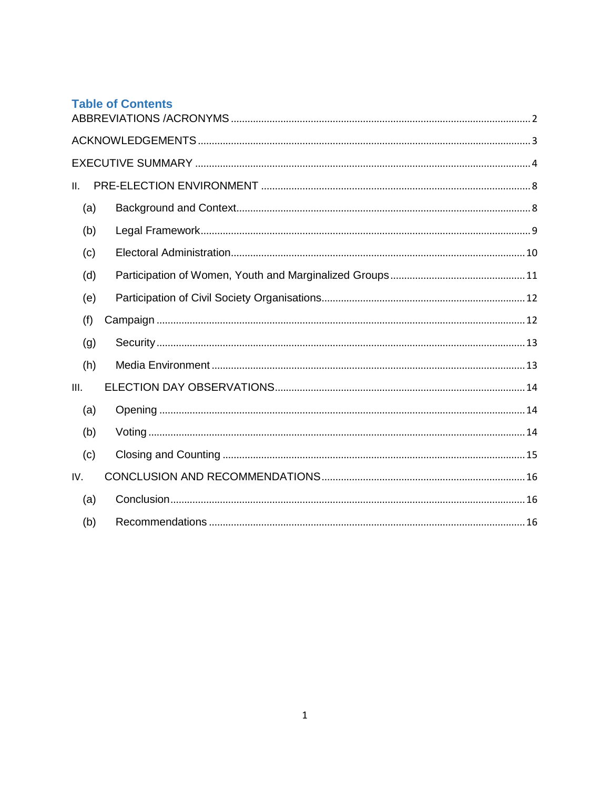# **Table of Contents**

| II.  |  |
|------|--|
| (a)  |  |
| (b)  |  |
| (c)  |  |
| (d)  |  |
| (e)  |  |
| (f)  |  |
| (g)  |  |
| (h)  |  |
| III. |  |
| (a)  |  |
| (b)  |  |
| (c)  |  |
| IV.  |  |
| (a)  |  |
| (b)  |  |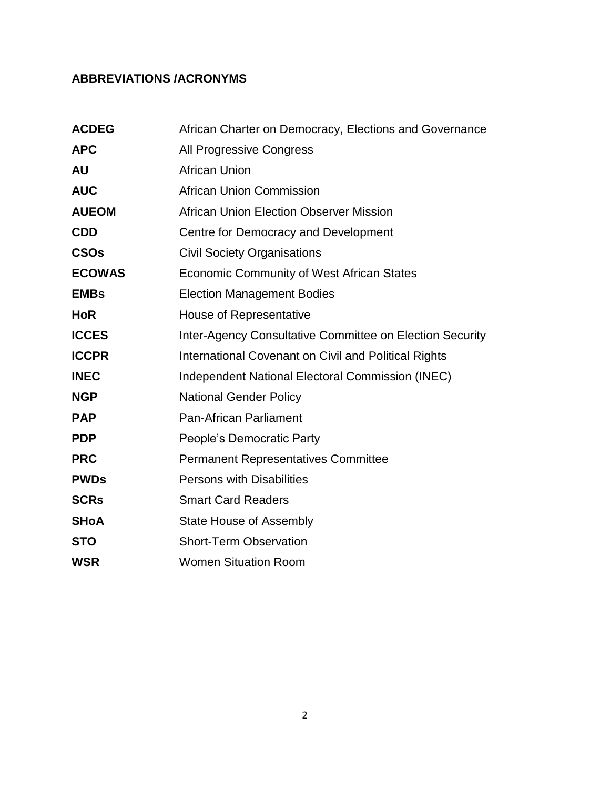# <span id="page-2-0"></span>**ABBREVIATIONS /ACRONYMS**

| <b>ACDEG</b>  | African Charter on Democracy, Elections and Governance   |
|---------------|----------------------------------------------------------|
| <b>APC</b>    | <b>All Progressive Congress</b>                          |
| <b>AU</b>     | <b>African Union</b>                                     |
| <b>AUC</b>    | <b>African Union Commission</b>                          |
| <b>AUEOM</b>  | <b>African Union Election Observer Mission</b>           |
| <b>CDD</b>    | Centre for Democracy and Development                     |
| <b>CSOs</b>   | <b>Civil Society Organisations</b>                       |
| <b>ECOWAS</b> | <b>Economic Community of West African States</b>         |
| <b>EMBs</b>   | <b>Election Management Bodies</b>                        |
| <b>HoR</b>    | <b>House of Representative</b>                           |
| <b>ICCES</b>  | Inter-Agency Consultative Committee on Election Security |
| <b>ICCPR</b>  | International Covenant on Civil and Political Rights     |
| <b>INEC</b>   | Independent National Electoral Commission (INEC)         |
| <b>NGP</b>    | <b>National Gender Policy</b>                            |
| <b>PAP</b>    | <b>Pan-African Parliament</b>                            |
| <b>PDP</b>    | People's Democratic Party                                |
| <b>PRC</b>    | <b>Permanent Representatives Committee</b>               |
| <b>PWDs</b>   | <b>Persons with Disabilities</b>                         |
| <b>SCRs</b>   | <b>Smart Card Readers</b>                                |
| <b>SHoA</b>   | <b>State House of Assembly</b>                           |
| <b>STO</b>    | <b>Short-Term Observation</b>                            |
| <b>WSR</b>    | <b>Women Situation Room</b>                              |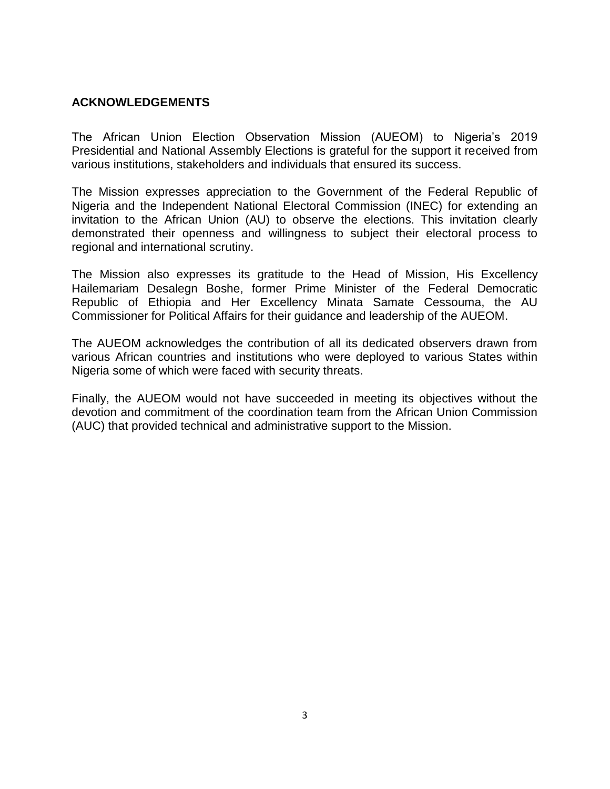# <span id="page-3-0"></span>**ACKNOWLEDGEMENTS**

The African Union Election Observation Mission (AUEOM) to Nigeria's 2019 Presidential and National Assembly Elections is grateful for the support it received from various institutions, stakeholders and individuals that ensured its success.

The Mission expresses appreciation to the Government of the Federal Republic of Nigeria and the Independent National Electoral Commission (INEC) for extending an invitation to the African Union (AU) to observe the elections. This invitation clearly demonstrated their openness and willingness to subject their electoral process to regional and international scrutiny.

The Mission also expresses its gratitude to the Head of Mission, His Excellency Hailemariam Desalegn Boshe, former Prime Minister of the Federal Democratic Republic of Ethiopia and Her Excellency Minata Samate Cessouma, the AU Commissioner for Political Affairs for their guidance and leadership of the AUEOM.

The AUEOM acknowledges the contribution of all its dedicated observers drawn from various African countries and institutions who were deployed to various States within Nigeria some of which were faced with security threats.

Finally, the AUEOM would not have succeeded in meeting its objectives without the devotion and commitment of the coordination team from the African Union Commission (AUC) that provided technical and administrative support to the Mission.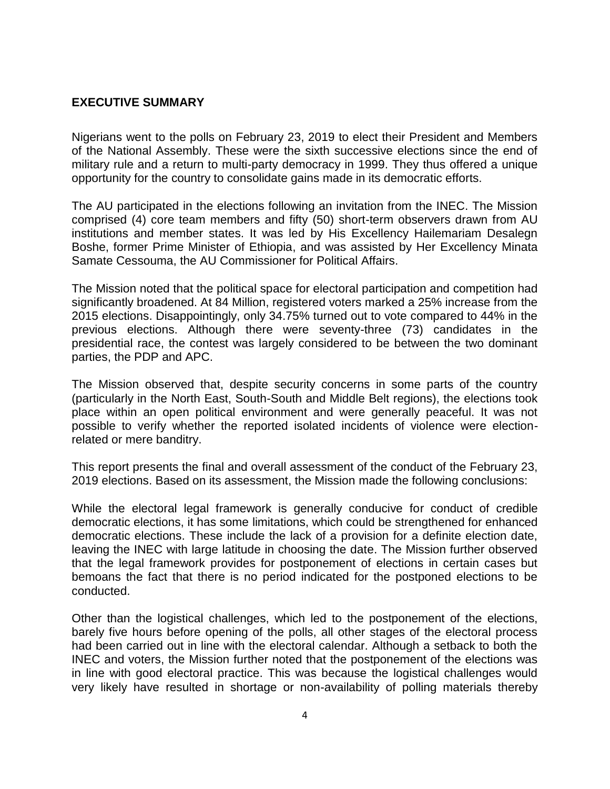#### <span id="page-4-0"></span>**EXECUTIVE SUMMARY**

Nigerians went to the polls on February 23, 2019 to elect their President and Members of the National Assembly. These were the sixth successive elections since the end of military rule and a return to multi-party democracy in 1999. They thus offered a unique opportunity for the country to consolidate gains made in its democratic efforts.

The AU participated in the elections following an invitation from the INEC. The Mission comprised (4) core team members and fifty (50) short-term observers drawn from AU institutions and member states. It was led by His Excellency Hailemariam Desalegn Boshe, former Prime Minister of Ethiopia, and was assisted by Her Excellency Minata Samate Cessouma, the AU Commissioner for Political Affairs.

The Mission noted that the political space for electoral participation and competition had significantly broadened. At 84 Million, registered voters marked a 25% increase from the 2015 elections. Disappointingly, only 34.75% turned out to vote compared to 44% in the previous elections. Although there were seventy-three (73) candidates in the presidential race, the contest was largely considered to be between the two dominant parties, the PDP and APC.

The Mission observed that, despite security concerns in some parts of the country (particularly in the North East, South-South and Middle Belt regions), the elections took place within an open political environment and were generally peaceful. It was not possible to verify whether the reported isolated incidents of violence were electionrelated or mere banditry.

This report presents the final and overall assessment of the conduct of the February 23, 2019 elections. Based on its assessment, the Mission made the following conclusions:

While the electoral legal framework is generally conducive for conduct of credible democratic elections, it has some limitations, which could be strengthened for enhanced democratic elections. These include the lack of a provision for a definite election date, leaving the INEC with large latitude in choosing the date. The Mission further observed that the legal framework provides for postponement of elections in certain cases but bemoans the fact that there is no period indicated for the postponed elections to be conducted.

Other than the logistical challenges, which led to the postponement of the elections, barely five hours before opening of the polls, all other stages of the electoral process had been carried out in line with the electoral calendar. Although a setback to both the INEC and voters, the Mission further noted that the postponement of the elections was in line with good electoral practice. This was because the logistical challenges would very likely have resulted in shortage or non-availability of polling materials thereby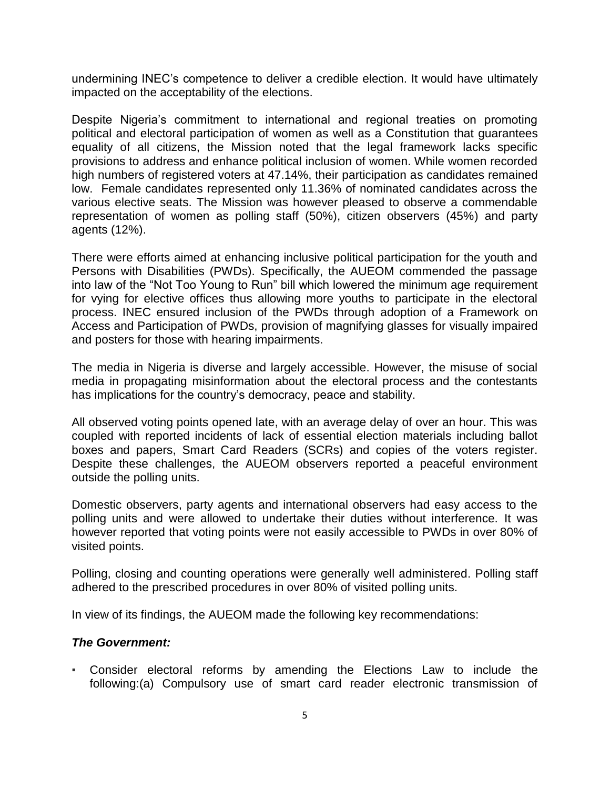undermining INEC's competence to deliver a credible election. It would have ultimately impacted on the acceptability of the elections.

Despite Nigeria's commitment to international and regional treaties on promoting political and electoral participation of women as well as a Constitution that guarantees equality of all citizens, the Mission noted that the legal framework lacks specific provisions to address and enhance political inclusion of women. While women recorded high numbers of registered voters at 47.14%, their participation as candidates remained low. Female candidates represented only 11.36% of nominated candidates across the various elective seats. The Mission was however pleased to observe a commendable representation of women as polling staff (50%), citizen observers (45%) and party agents (12%).

There were efforts aimed at enhancing inclusive political participation for the youth and Persons with Disabilities (PWDs). Specifically, the AUEOM commended the passage into law of the "Not Too Young to Run" bill which lowered the minimum age requirement for vying for elective offices thus allowing more youths to participate in the electoral process. INEC ensured inclusion of the PWDs through adoption of a Framework on Access and Participation of PWDs, provision of magnifying glasses for visually impaired and posters for those with hearing impairments.

The media in Nigeria is diverse and largely accessible. However, the misuse of social media in propagating misinformation about the electoral process and the contestants has implications for the country's democracy, peace and stability.

All observed voting points opened late, with an average delay of over an hour. This was coupled with reported incidents of lack of essential election materials including ballot boxes and papers, Smart Card Readers (SCRs) and copies of the voters register. Despite these challenges, the AUEOM observers reported a peaceful environment outside the polling units.

Domestic observers, party agents and international observers had easy access to the polling units and were allowed to undertake their duties without interference. It was however reported that voting points were not easily accessible to PWDs in over 80% of visited points.

Polling, closing and counting operations were generally well administered. Polling staff adhered to the prescribed procedures in over 80% of visited polling units.

In view of its findings, the AUEOM made the following key recommendations:

#### *The Government:*

▪ Consider electoral reforms by amending the Elections Law to include the following:(a) Compulsory use of smart card reader electronic transmission of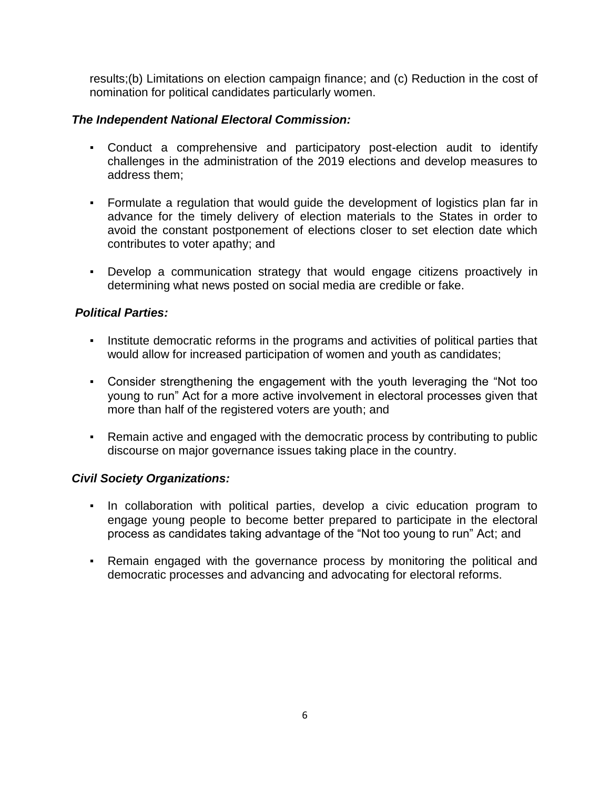results;(b) Limitations on election campaign finance; and (c) Reduction in the cost of nomination for political candidates particularly women.

#### *The Independent National Electoral Commission:*

- Conduct a comprehensive and participatory post-election audit to identify challenges in the administration of the 2019 elections and develop measures to address them;
- Formulate a regulation that would guide the development of logistics plan far in advance for the timely delivery of election materials to the States in order to avoid the constant postponement of elections closer to set election date which contributes to voter apathy; and
- Develop a communication strategy that would engage citizens proactively in determining what news posted on social media are credible or fake.

# *Political Parties:*

- **•** Institute democratic reforms in the programs and activities of political parties that would allow for increased participation of women and youth as candidates;
- Consider strengthening the engagement with the youth leveraging the "Not too young to run" Act for a more active involvement in electoral processes given that more than half of the registered voters are youth; and
- Remain active and engaged with the democratic process by contributing to public discourse on major governance issues taking place in the country.

#### *Civil Society Organizations:*

- In collaboration with political parties, develop a civic education program to engage young people to become better prepared to participate in the electoral process as candidates taking advantage of the "Not too young to run" Act; and
- Remain engaged with the governance process by monitoring the political and democratic processes and advancing and advocating for electoral reforms.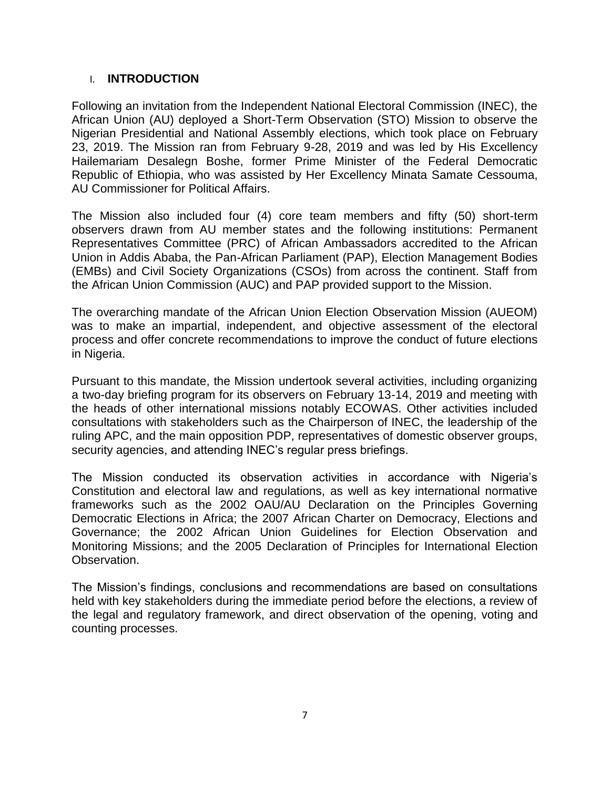#### I. **INTRODUCTION**

Following an invitation from the Independent National Electoral Commission (INEC), the African Union (AU) deployed a Short-Term Observation (STO) Mission to observe the Nigerian Presidential and National Assembly elections, which took place on February 23, 2019. The Mission ran from February 9-28, 2019 and was led by His Excellency Hailemariam Desalegn Boshe, former Prime Minister of the Federal Democratic Republic of Ethiopia, who was assisted by Her Excellency Minata Samate Cessouma, AU Commissioner for Political Affairs.

The Mission also included four (4) core team members and fifty (50) short-term observers drawn from AU member states and the following institutions: Permanent Representatives Committee (PRC) of African Ambassadors accredited to the African Union in Addis Ababa, the Pan-African Parliament (PAP), Election Management Bodies (EMBs) and Civil Society Organizations (CSOs) from across the continent. Staff from the African Union Commission (AUC) and PAP provided support to the Mission.

The overarching mandate of the African Union Election Observation Mission (AUEOM) was to make an impartial, independent, and objective assessment of the electoral process and offer concrete recommendations to improve the conduct of future elections in Nigeria.

Pursuant to this mandate, the Mission undertook several activities, including organizing a two-day briefing program for its observers on February 13-14, 2019 and meeting with the heads of other international missions notably ECOWAS. Other activities included consultations with stakeholders such as the Chairperson of INEC, the leadership of the ruling APC, and the main opposition PDP, representatives of domestic observer groups, security agencies, and attending INEC's regular press briefings.

The Mission conducted its observation activities in accordance with Nigeria's Constitution and electoral law and regulations, as well as key international normative frameworks such as the 2002 OAU/AU Declaration on the Principles Governing Democratic Elections in Africa; the 2007 African Charter on Democracy, Elections and Governance; the 2002 African Union Guidelines for Election Observation and Monitoring Missions; and the 2005 Declaration of Principles for International Election Observation.

The Mission's findings, conclusions and recommendations are based on consultations held with key stakeholders during the immediate period before the elections, a review of the legal and regulatory framework, and direct observation of the opening, voting and counting processes.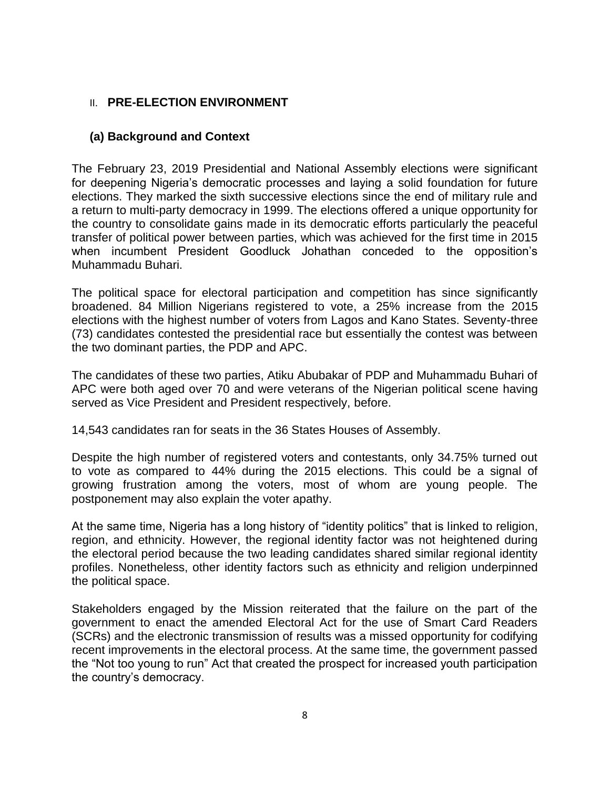# <span id="page-8-0"></span>II. **PRE-ELECTION ENVIRONMENT**

#### <span id="page-8-1"></span>**(a) Background and Context**

The February 23, 2019 Presidential and National Assembly elections were significant for deepening Nigeria's democratic processes and laying a solid foundation for future elections. They marked the sixth successive elections since the end of military rule and a return to multi-party democracy in 1999. The elections offered a unique opportunity for the country to consolidate gains made in its democratic efforts particularly the peaceful transfer of political power between parties, which was achieved for the first time in 2015 when incumbent President Goodluck Johathan conceded to the opposition's Muhammadu Buhari.

The political space for electoral participation and competition has since significantly broadened. 84 Million Nigerians registered to vote, a 25% increase from the 2015 elections with the highest number of voters from Lagos and Kano States. Seventy-three (73) candidates contested the presidential race but essentially the contest was between the two dominant parties, the PDP and APC.

The candidates of these two parties, Atiku Abubakar of PDP and Muhammadu Buhari of APC were both aged over 70 and were veterans of the Nigerian political scene having served as Vice President and President respectively, before.

14,543 candidates ran for seats in the 36 States Houses of Assembly.

Despite the high number of registered voters and contestants, only 34.75% turned out to vote as compared to 44% during the 2015 elections. This could be a signal of growing frustration among the voters, most of whom are young people. The postponement may also explain the voter apathy.

At the same time, Nigeria has a long history of "identity politics" that is linked to religion, region, and ethnicity. However, the regional identity factor was not heightened during the electoral period because the two leading candidates shared similar regional identity profiles. Nonetheless, other identity factors such as ethnicity and religion underpinned the political space.

Stakeholders engaged by the Mission reiterated that the failure on the part of the government to enact the amended Electoral Act for the use of Smart Card Readers (SCRs) and the electronic transmission of results was a missed opportunity for codifying recent improvements in the electoral process. At the same time, the government passed the "Not too young to run" Act that created the prospect for increased youth participation the country's democracy.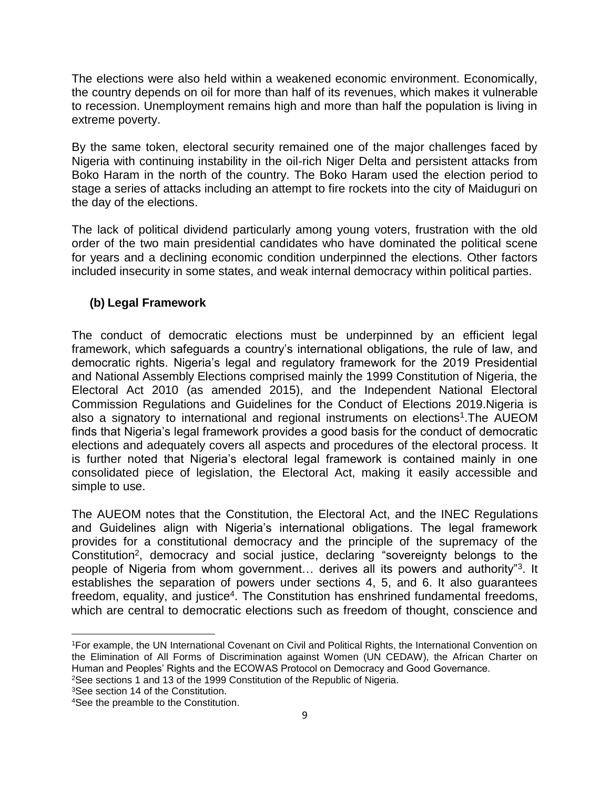The elections were also held within a weakened economic environment. Economically, the country depends on oil for more than half of its revenues, which makes it vulnerable to recession. Unemployment remains high and more than half the population is living in extreme poverty.

By the same token, electoral security remained one of the major challenges faced by Nigeria with continuing instability in the oil-rich Niger Delta and persistent attacks from Boko Haram in the north of the country. The Boko Haram used the election period to stage a series of attacks including an attempt to fire rockets into the city of Maiduguri on the day of the elections.

The lack of political dividend particularly among young voters, frustration with the old order of the two main presidential candidates who have dominated the political scene for years and a declining economic condition underpinned the elections. Other factors included insecurity in some states, and weak internal democracy within political parties.

# <span id="page-9-0"></span>**(b) Legal Framework**

The conduct of democratic elections must be underpinned by an efficient legal framework, which safeguards a country's international obligations, the rule of law, and democratic rights. Nigeria's legal and regulatory framework for the 2019 Presidential and National Assembly Elections comprised mainly the 1999 Constitution of Nigeria, the Electoral Act 2010 (as amended 2015), and the Independent National Electoral Commission Regulations and Guidelines for the Conduct of Elections 2019.Nigeria is also a signatory to international and regional instruments on elections<sup>1</sup>. The AUEOM finds that Nigeria's legal framework provides a good basis for the conduct of democratic elections and adequately covers all aspects and procedures of the electoral process. It is further noted that Nigeria's electoral legal framework is contained mainly in one consolidated piece of legislation, the Electoral Act, making it easily accessible and simple to use.

The AUEOM notes that the Constitution, the Electoral Act, and the INEC Regulations and Guidelines align with Nigeria's international obligations. The legal framework provides for a constitutional democracy and the principle of the supremacy of the Constitution<sup>2</sup>, democracy and social justice, declaring "sovereignty belongs to the people of Nigeria from whom government... derives all its powers and authority"<sup>3</sup>. It establishes the separation of powers under sections 4, 5, and 6. It also guarantees freedom, equality, and justice<sup>4</sup>. The Constitution has enshrined fundamental freedoms, which are central to democratic elections such as freedom of thought, conscience and

l <sup>1</sup>For example, the UN International Covenant on Civil and Political Rights, the International Convention on the Elimination of All Forms of Discrimination against Women (UN CEDAW), the African Charter on Human and Peoples' Rights and the ECOWAS Protocol on Democracy and Good Governance. <sup>2</sup>See sections 1 and 13 of the 1999 Constitution of the Republic of Nigeria.

<sup>&</sup>lt;sup>3</sup>See section 14 of the Constitution.

<sup>4</sup>See the preamble to the Constitution.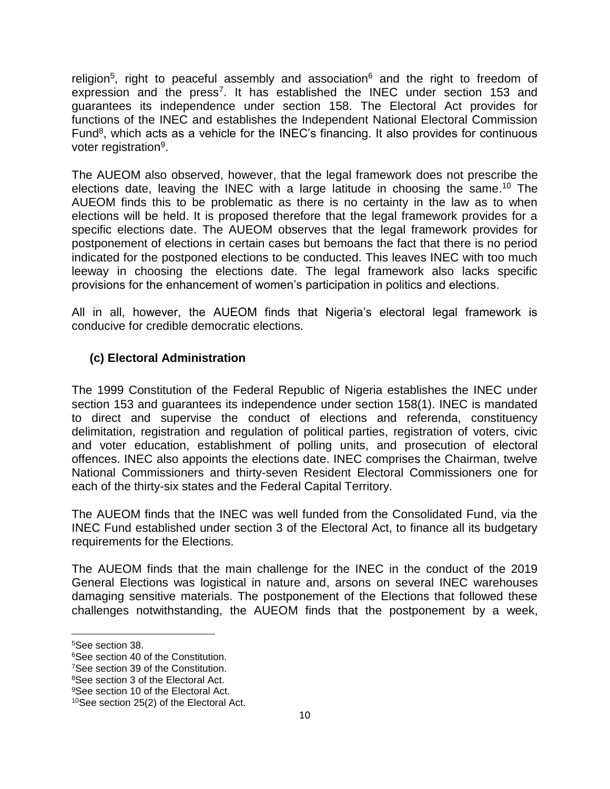religion<sup>5</sup>, right to peaceful assembly and association<sup>6</sup> and the right to freedom of expression and the press<sup>7</sup>. It has established the INEC under section 153 and guarantees its independence under section 158. The Electoral Act provides for functions of the INEC and establishes the Independent National Electoral Commission Fund<sup>8</sup>, which acts as a vehicle for the INEC's financing. It also provides for continuous voter registration<sup>9</sup>.

The AUEOM also observed, however, that the legal framework does not prescribe the elections date, leaving the INEC with a large latitude in choosing the same.<sup>10</sup> The AUEOM finds this to be problematic as there is no certainty in the law as to when elections will be held. It is proposed therefore that the legal framework provides for a specific elections date. The AUEOM observes that the legal framework provides for postponement of elections in certain cases but bemoans the fact that there is no period indicated for the postponed elections to be conducted. This leaves INEC with too much leeway in choosing the elections date. The legal framework also lacks specific provisions for the enhancement of women's participation in politics and elections.

<span id="page-10-0"></span>All in all, however, the AUEOM finds that Nigeria's electoral legal framework is conducive for credible democratic elections.

# **(c) Electoral Administration**

The 1999 Constitution of the Federal Republic of Nigeria establishes the INEC under section 153 and guarantees its independence under section 158(1). INEC is mandated to direct and supervise the conduct of elections and referenda, constituency delimitation, registration and regulation of political parties, registration of voters, civic and voter education, establishment of polling units, and prosecution of electoral offences. INEC also appoints the elections date. INEC comprises the Chairman, twelve National Commissioners and thirty-seven Resident Electoral Commissioners one for each of the thirty-six states and the Federal Capital Territory.

The AUEOM finds that the INEC was well funded from the Consolidated Fund, via the INEC Fund established under section 3 of the Electoral Act, to finance all its budgetary requirements for the Elections.

The AUEOM finds that the main challenge for the INEC in the conduct of the 2019 General Elections was logistical in nature and, arsons on several INEC warehouses damaging sensitive materials. The postponement of the Elections that followed these challenges notwithstanding, the AUEOM finds that the postponement by a week,

l

<sup>5</sup>See section 38.

<sup>6</sup>See section 40 of the Constitution.

<sup>&</sup>lt;sup>7</sup>See section 39 of the Constitution.

<sup>8</sup>See section 3 of the Electoral Act.

<sup>&</sup>lt;sup>9</sup>See section 10 of the Electoral Act.

<sup>10</sup>See section 25(2) of the Electoral Act.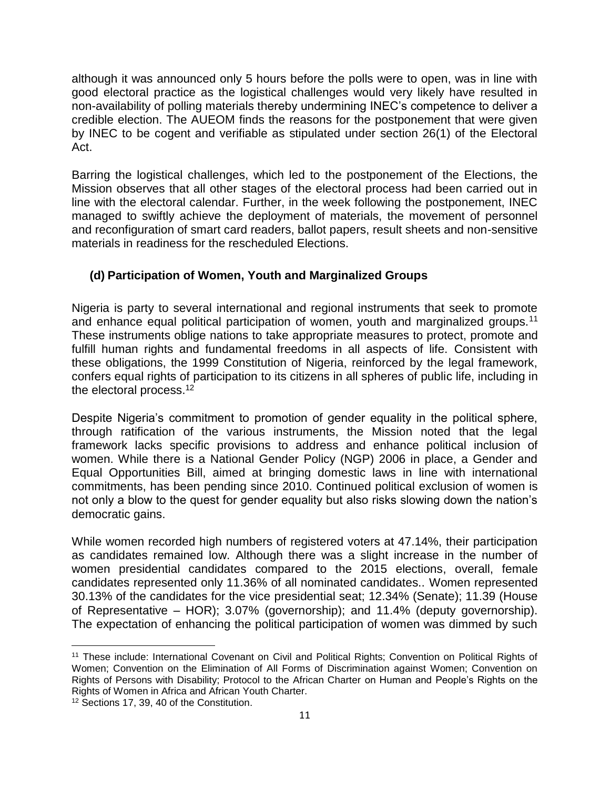although it was announced only 5 hours before the polls were to open, was in line with good electoral practice as the logistical challenges would very likely have resulted in non-availability of polling materials thereby undermining INEC's competence to deliver a credible election. The AUEOM finds the reasons for the postponement that were given by INEC to be cogent and verifiable as stipulated under section 26(1) of the Electoral Act.

Barring the logistical challenges, which led to the postponement of the Elections, the Mission observes that all other stages of the electoral process had been carried out in line with the electoral calendar. Further, in the week following the postponement, INEC managed to swiftly achieve the deployment of materials, the movement of personnel and reconfiguration of smart card readers, ballot papers, result sheets and non-sensitive materials in readiness for the rescheduled Elections.

# <span id="page-11-0"></span>**(d) Participation of Women, Youth and Marginalized Groups**

Nigeria is party to several international and regional instruments that seek to promote and enhance equal political participation of women, youth and marginalized groups.<sup>11</sup> These instruments oblige nations to take appropriate measures to protect, promote and fulfill human rights and fundamental freedoms in all aspects of life. Consistent with these obligations, the 1999 Constitution of Nigeria, reinforced by the legal framework, confers equal rights of participation to its citizens in all spheres of public life, including in the electoral process.<sup>12</sup>

Despite Nigeria's commitment to promotion of gender equality in the political sphere, through ratification of the various instruments, the Mission noted that the legal framework lacks specific provisions to address and enhance political inclusion of women. While there is a National Gender Policy (NGP) 2006 in place, a Gender and Equal Opportunities Bill, aimed at bringing domestic laws in line with international commitments, has been pending since 2010. Continued political exclusion of women is not only a blow to the quest for gender equality but also risks slowing down the nation's democratic gains.

While women recorded high numbers of registered voters at 47.14%, their participation as candidates remained low. Although there was a slight increase in the number of women presidential candidates compared to the 2015 elections, overall, female candidates represented only 11.36% of all nominated candidates.. Women represented 30.13% of the candidates for the vice presidential seat; 12.34% (Senate); 11.39 (House of Representative – HOR); 3.07% (governorship); and 11.4% (deputy governorship). The expectation of enhancing the political participation of women was dimmed by such

 $\overline{a}$ 

<sup>11</sup> These include: International Covenant on Civil and Political Rights; Convention on Political Rights of Women; Convention on the Elimination of All Forms of Discrimination against Women; Convention on Rights of Persons with Disability; Protocol to the African Charter on Human and People's Rights on the Rights of Women in Africa and African Youth Charter.

<sup>12</sup> Sections 17, 39, 40 of the Constitution.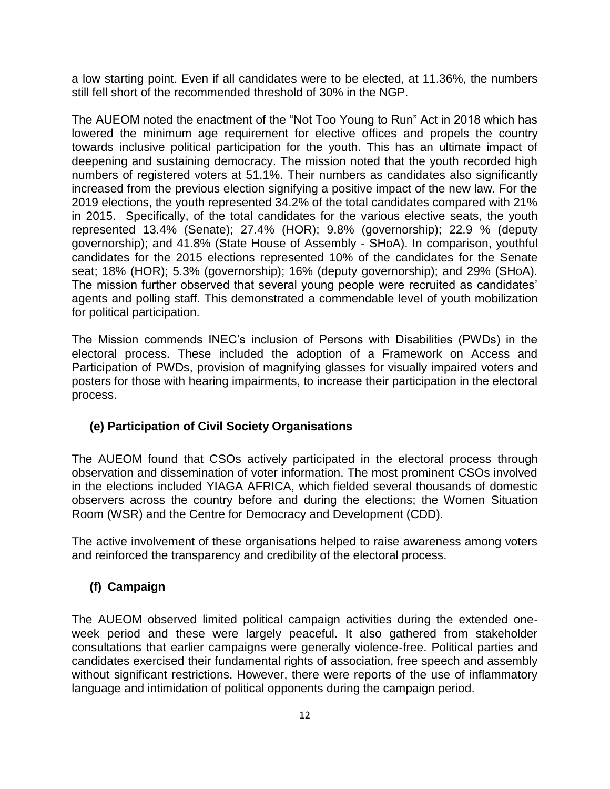a low starting point. Even if all candidates were to be elected, at 11.36%, the numbers still fell short of the recommended threshold of 30% in the NGP.

The AUEOM noted the enactment of the "Not Too Young to Run" Act in 2018 which has lowered the minimum age requirement for elective offices and propels the country towards inclusive political participation for the youth. This has an ultimate impact of deepening and sustaining democracy. The mission noted that the youth recorded high numbers of registered voters at 51.1%. Their numbers as candidates also significantly increased from the previous election signifying a positive impact of the new law. For the 2019 elections, the youth represented 34.2% of the total candidates compared with 21% in 2015. Specifically, of the total candidates for the various elective seats, the youth represented 13.4% (Senate); 27.4% (HOR); 9.8% (governorship); 22.9 % (deputy governorship); and 41.8% (State House of Assembly - SHoA). In comparison, youthful candidates for the 2015 elections represented 10% of the candidates for the Senate seat; 18% (HOR); 5.3% (governorship); 16% (deputy governorship); and 29% (SHoA). The mission further observed that several young people were recruited as candidates' agents and polling staff. This demonstrated a commendable level of youth mobilization for political participation.

The Mission commends INEC's inclusion of Persons with Disabilities (PWDs) in the electoral process. These included the adoption of a Framework on Access and Participation of PWDs, provision of magnifying glasses for visually impaired voters and posters for those with hearing impairments, to increase their participation in the electoral process.

#### <span id="page-12-0"></span>**(e) Participation of Civil Society Organisations**

The AUEOM found that CSOs actively participated in the electoral process through observation and dissemination of voter information. The most prominent CSOs involved in the elections included YIAGA AFRICA, which fielded several thousands of domestic observers across the country before and during the elections; the Women Situation Room (WSR) and the Centre for Democracy and Development (CDD).

The active involvement of these organisations helped to raise awareness among voters and reinforced the transparency and credibility of the electoral process.

# <span id="page-12-1"></span>**(f) Campaign**

The AUEOM observed limited political campaign activities during the extended oneweek period and these were largely peaceful. It also gathered from stakeholder consultations that earlier campaigns were generally violence-free. Political parties and candidates exercised their fundamental rights of association, free speech and assembly without significant restrictions. However, there were reports of the use of inflammatory language and intimidation of political opponents during the campaign period.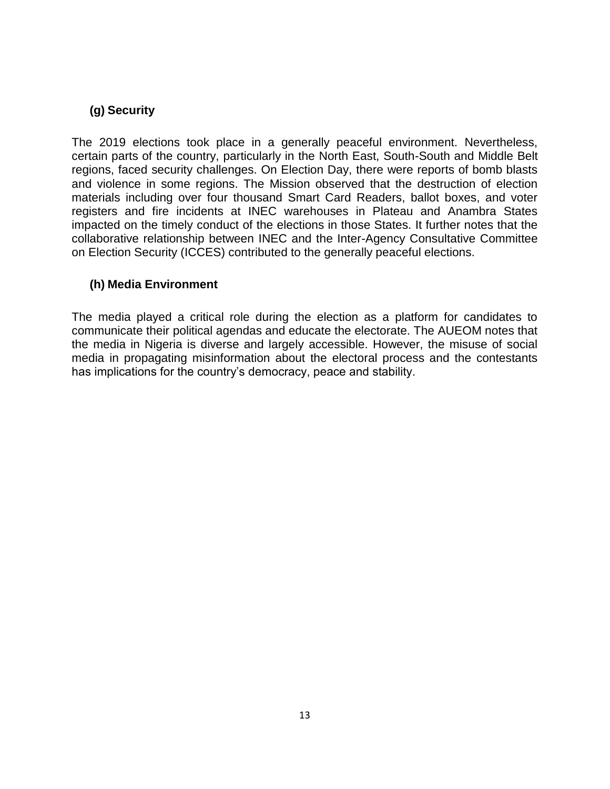# <span id="page-13-0"></span>**(g) Security**

The 2019 elections took place in a generally peaceful environment. Nevertheless, certain parts of the country, particularly in the North East, South-South and Middle Belt regions, faced security challenges. On Election Day, there were reports of bomb blasts and violence in some regions. The Mission observed that the destruction of election materials including over four thousand Smart Card Readers, ballot boxes, and voter registers and fire incidents at INEC warehouses in Plateau and Anambra States impacted on the timely conduct of the elections in those States. It further notes that the collaborative relationship between INEC and the Inter-Agency Consultative Committee on Election Security (ICCES) contributed to the generally peaceful elections.

# <span id="page-13-1"></span>**(h) Media Environment**

The media played a critical role during the election as a platform for candidates to communicate their political agendas and educate the electorate. The AUEOM notes that the media in Nigeria is diverse and largely accessible. However, the misuse of social media in propagating misinformation about the electoral process and the contestants has implications for the country's democracy, peace and stability.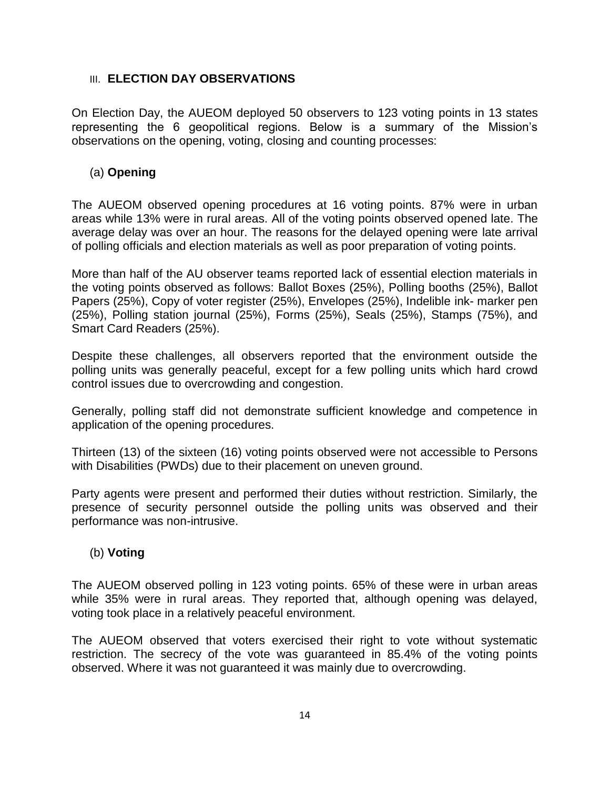#### <span id="page-14-0"></span>III. **ELECTION DAY OBSERVATIONS**

On Election Day, the AUEOM deployed 50 observers to 123 voting points in 13 states representing the 6 geopolitical regions. Below is a summary of the Mission's observations on the opening, voting, closing and counting processes:

#### <span id="page-14-1"></span>(a) **Opening**

The AUEOM observed opening procedures at 16 voting points. 87% were in urban areas while 13% were in rural areas. All of the voting points observed opened late. The average delay was over an hour. The reasons for the delayed opening were late arrival of polling officials and election materials as well as poor preparation of voting points.

More than half of the AU observer teams reported lack of essential election materials in the voting points observed as follows: Ballot Boxes (25%), Polling booths (25%), Ballot Papers (25%), Copy of voter register (25%), Envelopes (25%), Indelible ink- marker pen (25%), Polling station journal (25%), Forms (25%), Seals (25%), Stamps (75%), and Smart Card Readers (25%).

Despite these challenges, all observers reported that the environment outside the polling units was generally peaceful, except for a few polling units which hard crowd control issues due to overcrowding and congestion.

Generally, polling staff did not demonstrate sufficient knowledge and competence in application of the opening procedures.

Thirteen (13) of the sixteen (16) voting points observed were not accessible to Persons with Disabilities (PWDs) due to their placement on uneven ground.

Party agents were present and performed their duties without restriction. Similarly, the presence of security personnel outside the polling units was observed and their performance was non-intrusive.

# <span id="page-14-2"></span>(b) **Voting**

The AUEOM observed polling in 123 voting points. 65% of these were in urban areas while 35% were in rural areas. They reported that, although opening was delayed, voting took place in a relatively peaceful environment.

The AUEOM observed that voters exercised their right to vote without systematic restriction. The secrecy of the vote was guaranteed in 85.4% of the voting points observed. Where it was not guaranteed it was mainly due to overcrowding.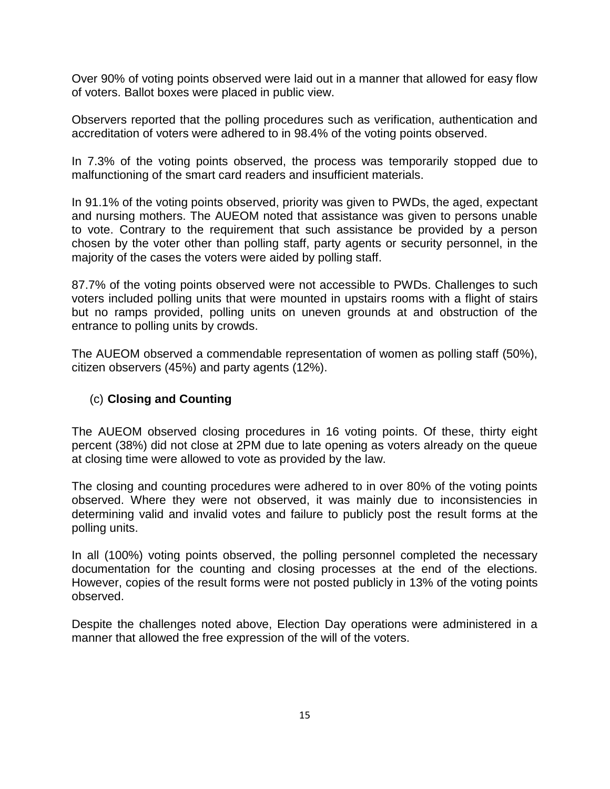Over 90% of voting points observed were laid out in a manner that allowed for easy flow of voters. Ballot boxes were placed in public view.

Observers reported that the polling procedures such as verification, authentication and accreditation of voters were adhered to in 98.4% of the voting points observed.

In 7.3% of the voting points observed, the process was temporarily stopped due to malfunctioning of the smart card readers and insufficient materials.

In 91.1% of the voting points observed, priority was given to PWDs, the aged, expectant and nursing mothers. The AUEOM noted that assistance was given to persons unable to vote. Contrary to the requirement that such assistance be provided by a person chosen by the voter other than polling staff, party agents or security personnel, in the majority of the cases the voters were aided by polling staff.

87.7% of the voting points observed were not accessible to PWDs. Challenges to such voters included polling units that were mounted in upstairs rooms with a flight of stairs but no ramps provided, polling units on uneven grounds at and obstruction of the entrance to polling units by crowds.

<span id="page-15-0"></span>The AUEOM observed a commendable representation of women as polling staff (50%), citizen observers (45%) and party agents (12%).

#### (c) **Closing and Counting**

The AUEOM observed closing procedures in 16 voting points. Of these, thirty eight percent (38%) did not close at 2PM due to late opening as voters already on the queue at closing time were allowed to vote as provided by the law.

The closing and counting procedures were adhered to in over 80% of the voting points observed. Where they were not observed, it was mainly due to inconsistencies in determining valid and invalid votes and failure to publicly post the result forms at the polling units.

In all (100%) voting points observed, the polling personnel completed the necessary documentation for the counting and closing processes at the end of the elections. However, copies of the result forms were not posted publicly in 13% of the voting points observed.

Despite the challenges noted above, Election Day operations were administered in a manner that allowed the free expression of the will of the voters.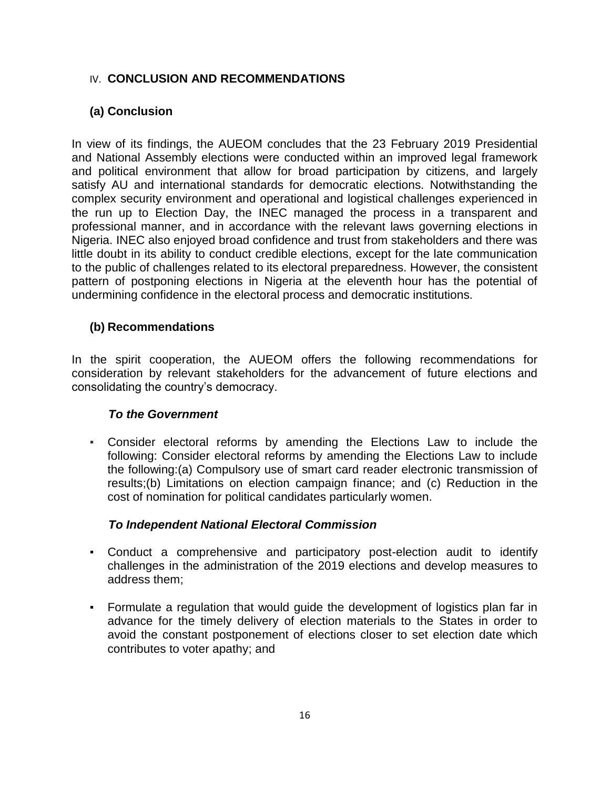# <span id="page-16-1"></span><span id="page-16-0"></span>IV. **CONCLUSION AND RECOMMENDATIONS**

# **(a) Conclusion**

In view of its findings, the AUEOM concludes that the 23 February 2019 Presidential and National Assembly elections were conducted within an improved legal framework and political environment that allow for broad participation by citizens, and largely satisfy AU and international standards for democratic elections. Notwithstanding the complex security environment and operational and logistical challenges experienced in the run up to Election Day, the INEC managed the process in a transparent and professional manner, and in accordance with the relevant laws governing elections in Nigeria. INEC also enjoyed broad confidence and trust from stakeholders and there was little doubt in its ability to conduct credible elections, except for the late communication to the public of challenges related to its electoral preparedness. However, the consistent pattern of postponing elections in Nigeria at the eleventh hour has the potential of undermining confidence in the electoral process and democratic institutions.

# <span id="page-16-2"></span>**(b) Recommendations**

In the spirit cooperation, the AUEOM offers the following recommendations for consideration by relevant stakeholders for the advancement of future elections and consolidating the country's democracy.

#### *To the Government*

▪ Consider electoral reforms by amending the Elections Law to include the following: Consider electoral reforms by amending the Elections Law to include the following:(a) Compulsory use of smart card reader electronic transmission of results;(b) Limitations on election campaign finance; and (c) Reduction in the cost of nomination for political candidates particularly women.

# *To Independent National Electoral Commission*

- Conduct a comprehensive and participatory post-election audit to identify challenges in the administration of the 2019 elections and develop measures to address them;
- Formulate a regulation that would guide the development of logistics plan far in advance for the timely delivery of election materials to the States in order to avoid the constant postponement of elections closer to set election date which contributes to voter apathy; and